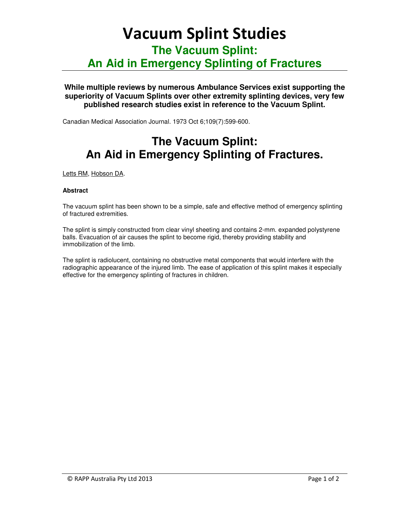# Vacuum Splint Studies

**The Vacuum Splint:** 

### **An Aid in Emergency Splinting of Fractures**

#### **While multiple reviews by numerous Ambulance Services exist supporting the superiority of Vacuum Splints over other extremity splinting devices, very few published research studies exist in reference to the Vacuum Splint.**

Canadian Medical Association Journal. 1973 Oct 6;109(7):599-600.

## **The Vacuum Splint: An Aid in Emergency Splinting of Fractures.**

Letts RM, Hobson DA.

#### **Abstract**

The vacuum splint has been shown to be a simple, safe and effective method of emergency splinting of fractured extremities.

The splint is simply constructed from clear vinyl sheeting and contains 2-mm. expanded polystyrene balls. Evacuation of air causes the splint to become rigid, thereby providing stability and immobilization of the limb.

The splint is radiolucent, containing no obstructive metal components that would interfere with the radiographic appearance of the injured limb. The ease of application of this splint makes it especially effective for the emergency splinting of fractures in children.